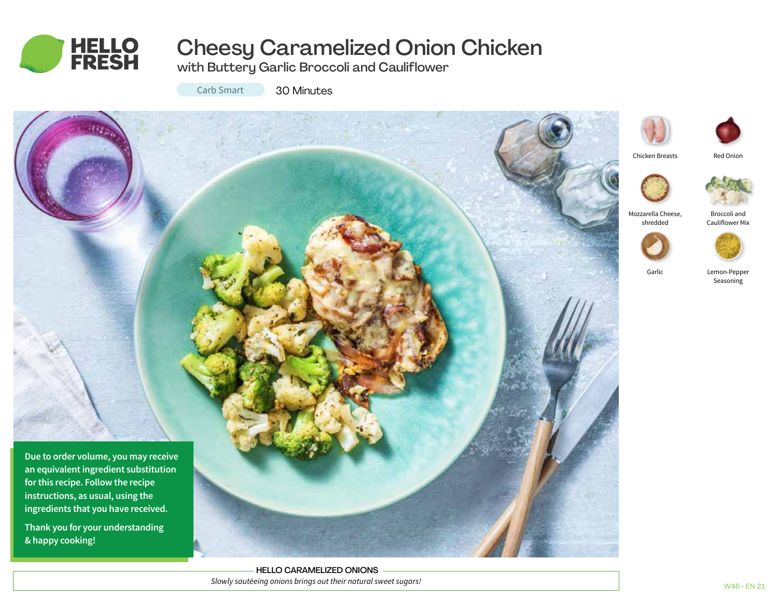

# Cheesy Caramelized Onion Chicken

with Buttery Garlic Broccoli and Cauliflower

Carb Smart

30 Minutes





Lemon-Pepper Seasoning

Broccoli and Cauliflower Mix

Red Onion